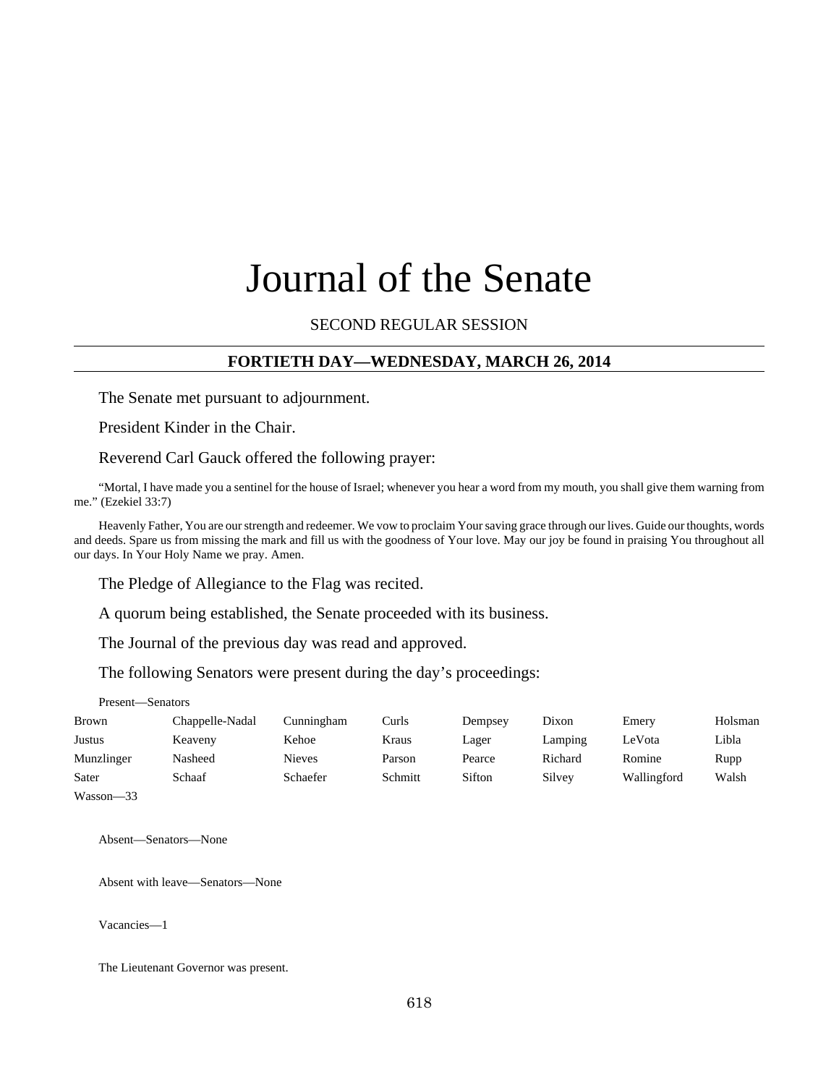# Journal of the Senate

#### SECOND REGULAR SESSION

#### **FORTIETH DAY—WEDNESDAY, MARCH 26, 2014**

The Senate met pursuant to adjournment.

President Kinder in the Chair.

Reverend Carl Gauck offered the following prayer:

"Mortal, I have made you a sentinel for the house of Israel; whenever you hear a word from my mouth, you shall give them warning from me." (Ezekiel 33:7)

Heavenly Father, You are our strength and redeemer. We vow to proclaim Your saving grace through our lives. Guide our thoughts, words and deeds. Spare us from missing the mark and fill us with the goodness of Your love. May our joy be found in praising You throughout all our days. In Your Holy Name we pray. Amen.

The Pledge of Allegiance to the Flag was recited.

A quorum being established, the Senate proceeded with its business.

The Journal of the previous day was read and approved.

The following Senators were present during the day's proceedings:

Present—Senators

| <b>Brown</b> | Chappelle-Nadal | Cunningham      | Curls   | Dempsey | Dixon   | Emery       | Holsman |
|--------------|-----------------|-----------------|---------|---------|---------|-------------|---------|
| Justus       | Keaveny         | Kehoe           | Kraus   | Lager   | Lamping | LeVota      | Libla   |
| Munzlinger   | Nasheed         | <b>Nieves</b>   | Parson  | Pearce  | Richard | Romine      | Rupp    |
| Sater        | Schaaf          | <b>Schaefer</b> | Schmitt | Sifton  | Silvey  | Wallingford | Walsh   |
| $Wasson-33$  |                 |                 |         |         |         |             |         |

Absent—Senators—None

Absent with leave—Senators—None

Vacancies—1

The Lieutenant Governor was present.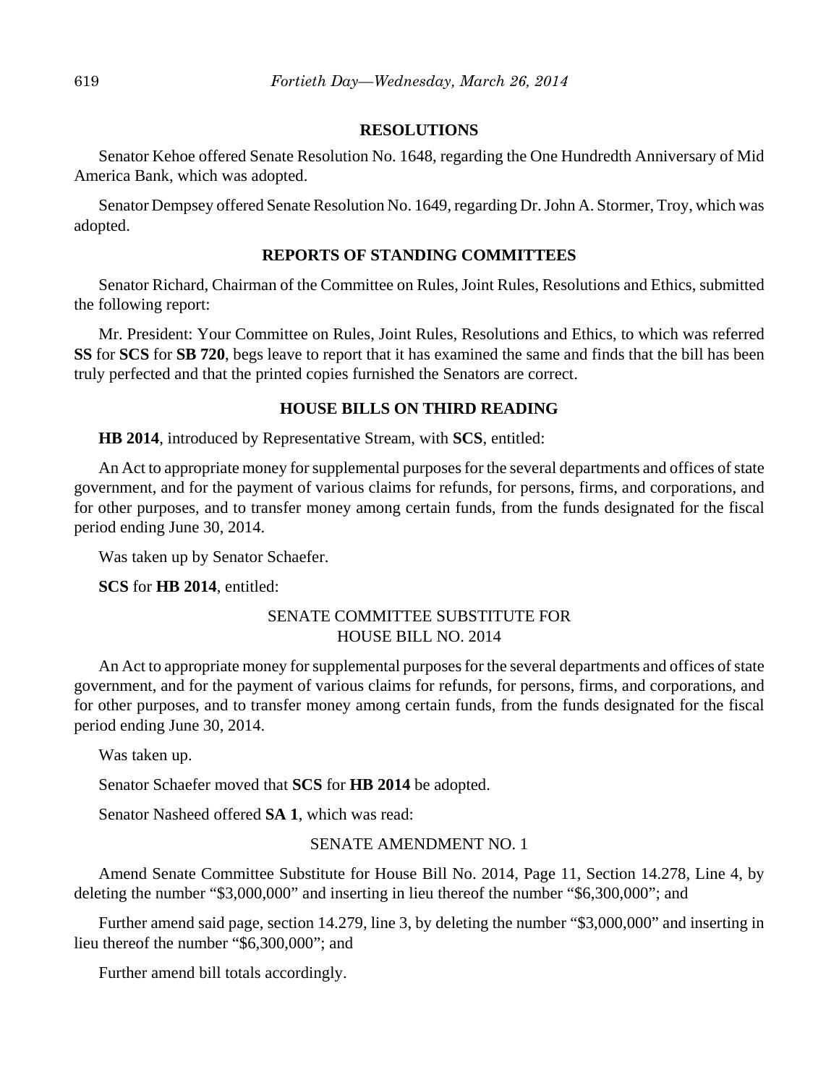#### **RESOLUTIONS**

Senator Kehoe offered Senate Resolution No. 1648, regarding the One Hundredth Anniversary of Mid America Bank, which was adopted.

Senator Dempsey offered Senate Resolution No. 1649, regarding Dr. John A. Stormer, Troy, which was adopted.

#### **REPORTS OF STANDING COMMITTEES**

Senator Richard, Chairman of the Committee on Rules, Joint Rules, Resolutions and Ethics, submitted the following report:

Mr. President: Your Committee on Rules, Joint Rules, Resolutions and Ethics, to which was referred **SS** for **SCS** for **SB 720**, begs leave to report that it has examined the same and finds that the bill has been truly perfected and that the printed copies furnished the Senators are correct.

#### **HOUSE BILLS ON THIRD READING**

**HB 2014**, introduced by Representative Stream, with **SCS**, entitled:

An Act to appropriate money for supplemental purposes for the several departments and offices of state government, and for the payment of various claims for refunds, for persons, firms, and corporations, and for other purposes, and to transfer money among certain funds, from the funds designated for the fiscal period ending June 30, 2014.

Was taken up by Senator Schaefer.

**SCS** for **HB 2014**, entitled:

#### SENATE COMMITTEE SUBSTITUTE FOR HOUSE BILL NO. 2014

An Act to appropriate money for supplemental purposes for the several departments and offices of state government, and for the payment of various claims for refunds, for persons, firms, and corporations, and for other purposes, and to transfer money among certain funds, from the funds designated for the fiscal period ending June 30, 2014.

Was taken up.

Senator Schaefer moved that **SCS** for **HB 2014** be adopted.

Senator Nasheed offered **SA 1**, which was read:

#### SENATE AMENDMENT NO. 1

Amend Senate Committee Substitute for House Bill No. 2014, Page 11, Section 14.278, Line 4, by deleting the number "\$3,000,000" and inserting in lieu thereof the number "\$6,300,000"; and

Further amend said page, section 14.279, line 3, by deleting the number "\$3,000,000" and inserting in lieu thereof the number "\$6,300,000"; and

Further amend bill totals accordingly.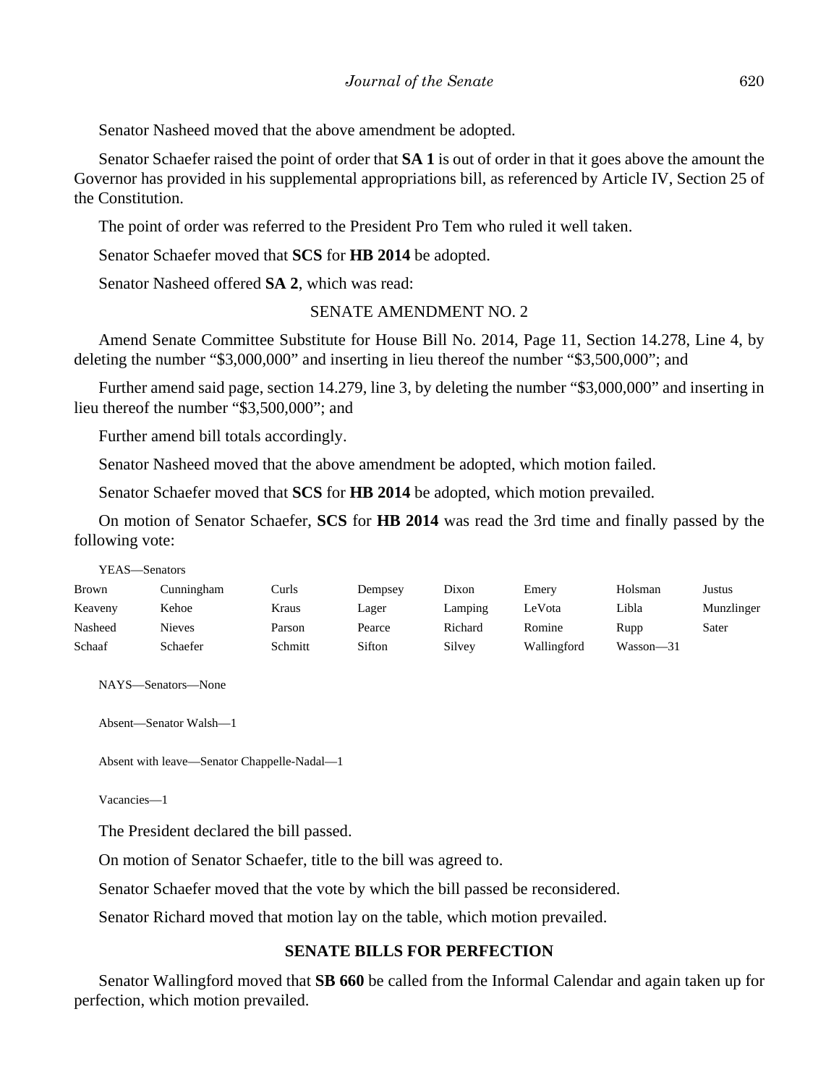Senator Nasheed moved that the above amendment be adopted.

Senator Schaefer raised the point of order that **SA 1** is out of order in that it goes above the amount the Governor has provided in his supplemental appropriations bill, as referenced by Article IV, Section 25 of the Constitution.

The point of order was referred to the President Pro Tem who ruled it well taken.

Senator Schaefer moved that **SCS** for **HB 2014** be adopted.

Senator Nasheed offered **SA 2**, which was read:

## SENATE AMENDMENT NO. 2

Amend Senate Committee Substitute for House Bill No. 2014, Page 11, Section 14.278, Line 4, by deleting the number "\$3,000,000" and inserting in lieu thereof the number "\$3,500,000"; and

Further amend said page, section 14.279, line 3, by deleting the number "\$3,000,000" and inserting in lieu thereof the number "\$3,500,000"; and

Further amend bill totals accordingly.

Senator Nasheed moved that the above amendment be adopted, which motion failed.

Senator Schaefer moved that **SCS** for **HB 2014** be adopted, which motion prevailed.

On motion of Senator Schaefer, **SCS** for **HB 2014** was read the 3rd time and finally passed by the following vote:

YEAS—Senators

| Brown   | Cunningham    | Curls   | Dempsey | Dixon   | Emery       | Holsman   | Justus     |
|---------|---------------|---------|---------|---------|-------------|-----------|------------|
| Keaveny | Kehoe         | Kraus   | Lager   | Lamping | LeVota      | Libla     | Munzlinger |
| Nasheed | <b>Nieves</b> | Parson  | Pearce  | Richard | Romine      | Rupp      | Sater      |
| Schaaf  | Schaefer      | Schmitt | Sifton  | Silvey  | Wallingford | Wasson—31 |            |

NAYS—Senators—None

Absent—Senator Walsh—1

```
Absent with leave—Senator Chappelle-Nadal—1
```
Vacancies—1

The President declared the bill passed.

On motion of Senator Schaefer, title to the bill was agreed to.

Senator Schaefer moved that the vote by which the bill passed be reconsidered.

Senator Richard moved that motion lay on the table, which motion prevailed.

## **SENATE BILLS FOR PERFECTION**

Senator Wallingford moved that **SB 660** be called from the Informal Calendar and again taken up for perfection, which motion prevailed.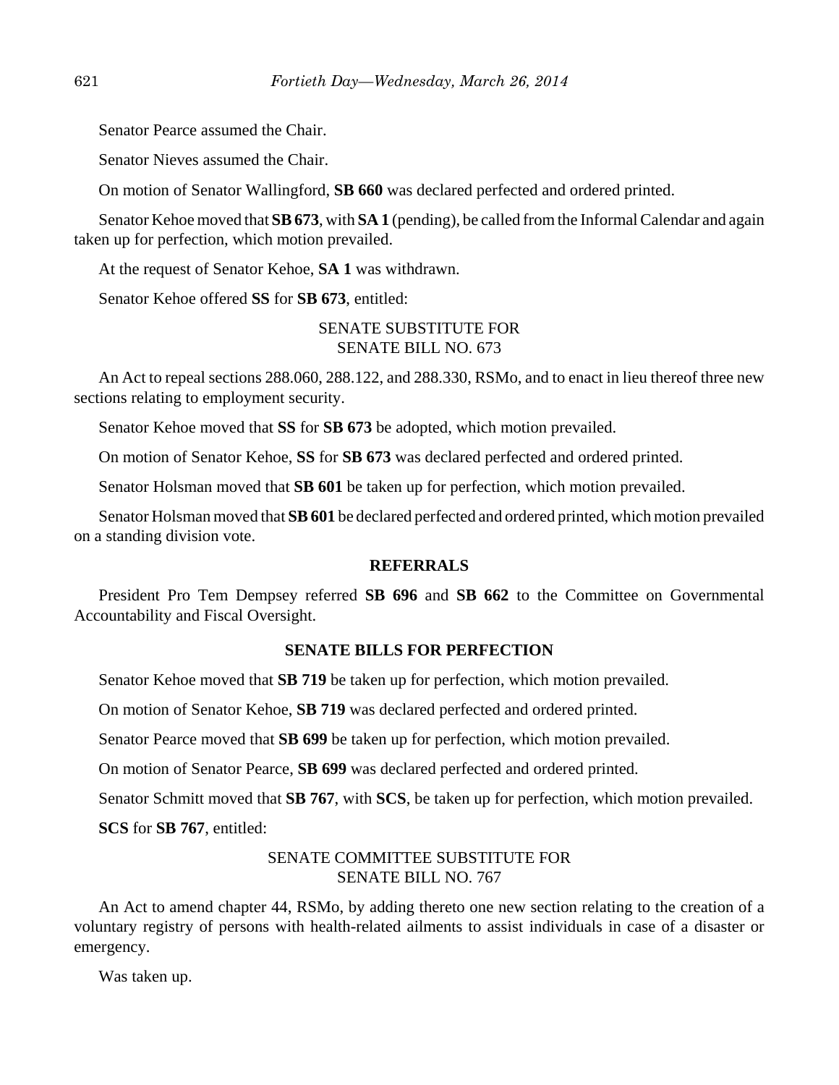Senator Pearce assumed the Chair.

Senator Nieves assumed the Chair.

On motion of Senator Wallingford, **SB 660** was declared perfected and ordered printed.

Senator Kehoe moved that **SB 673**, with **SA 1** (pending), be called from the Informal Calendar and again taken up for perfection, which motion prevailed.

At the request of Senator Kehoe, **SA 1** was withdrawn.

Senator Kehoe offered **SS** for **SB 673**, entitled:

### SENATE SUBSTITUTE FOR SENATE BILL NO. 673

An Act to repeal sections 288.060, 288.122, and 288.330, RSMo, and to enact in lieu thereof three new sections relating to employment security.

Senator Kehoe moved that **SS** for **SB 673** be adopted, which motion prevailed.

On motion of Senator Kehoe, **SS** for **SB 673** was declared perfected and ordered printed.

Senator Holsman moved that **SB 601** be taken up for perfection, which motion prevailed.

Senator Holsman moved that **SB 601** be declared perfected and ordered printed, which motion prevailed on a standing division vote.

#### **REFERRALS**

President Pro Tem Dempsey referred SB 696 and SB 662 to the Committee on Governmental Accountability and Fiscal Oversight.

#### **SENATE BILLS FOR PERFECTION**

Senator Kehoe moved that **SB 719** be taken up for perfection, which motion prevailed.

On motion of Senator Kehoe, **SB 719** was declared perfected and ordered printed.

Senator Pearce moved that **SB 699** be taken up for perfection, which motion prevailed.

On motion of Senator Pearce, **SB 699** was declared perfected and ordered printed.

Senator Schmitt moved that **SB 767**, with **SCS**, be taken up for perfection, which motion prevailed.

**SCS** for **SB 767**, entitled:

#### SENATE COMMITTEE SUBSTITUTE FOR SENATE BILL NO. 767

An Act to amend chapter 44, RSMo, by adding thereto one new section relating to the creation of a voluntary registry of persons with health-related ailments to assist individuals in case of a disaster or emergency.

Was taken up.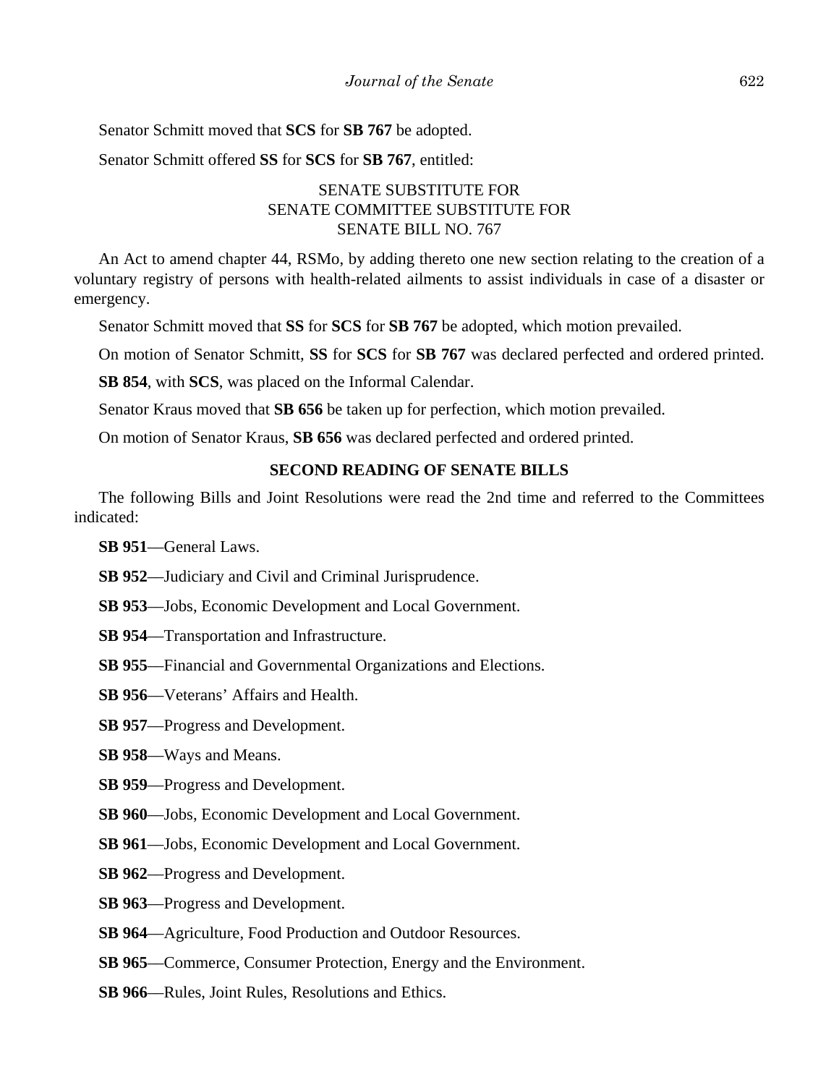Senator Schmitt moved that **SCS** for **SB 767** be adopted.

Senator Schmitt offered **SS** for **SCS** for **SB 767**, entitled:

## SENATE SUBSTITUTE FOR SENATE COMMITTEE SUBSTITUTE FOR SENATE BILL NO. 767

An Act to amend chapter 44, RSMo, by adding thereto one new section relating to the creation of a voluntary registry of persons with health-related ailments to assist individuals in case of a disaster or emergency.

Senator Schmitt moved that **SS** for **SCS** for **SB 767** be adopted, which motion prevailed.

On motion of Senator Schmitt, **SS** for **SCS** for **SB 767** was declared perfected and ordered printed.

**SB 854**, with **SCS**, was placed on the Informal Calendar.

Senator Kraus moved that **SB 656** be taken up for perfection, which motion prevailed.

On motion of Senator Kraus, **SB 656** was declared perfected and ordered printed.

## **SECOND READING OF SENATE BILLS**

The following Bills and Joint Resolutions were read the 2nd time and referred to the Committees indicated:

**SB 951**––General Laws.

- **SB 952**––Judiciary and Civil and Criminal Jurisprudence.
- **SB 953**––Jobs, Economic Development and Local Government.
- **SB 954**––Transportation and Infrastructure.
- **SB 955**––Financial and Governmental Organizations and Elections.
- **SB 956**––Veterans' Affairs and Health.

**SB 957**––Progress and Development.

**SB 958**––Ways and Means.

**SB 959**––Progress and Development.

- **SB 960**––Jobs, Economic Development and Local Government.
- **SB 961**––Jobs, Economic Development and Local Government.
- **SB 962**––Progress and Development.
- **SB 963**––Progress and Development.
- **SB 964**––Agriculture, Food Production and Outdoor Resources.
- **SB 965**––Commerce, Consumer Protection, Energy and the Environment.
- **SB 966**––Rules, Joint Rules, Resolutions and Ethics.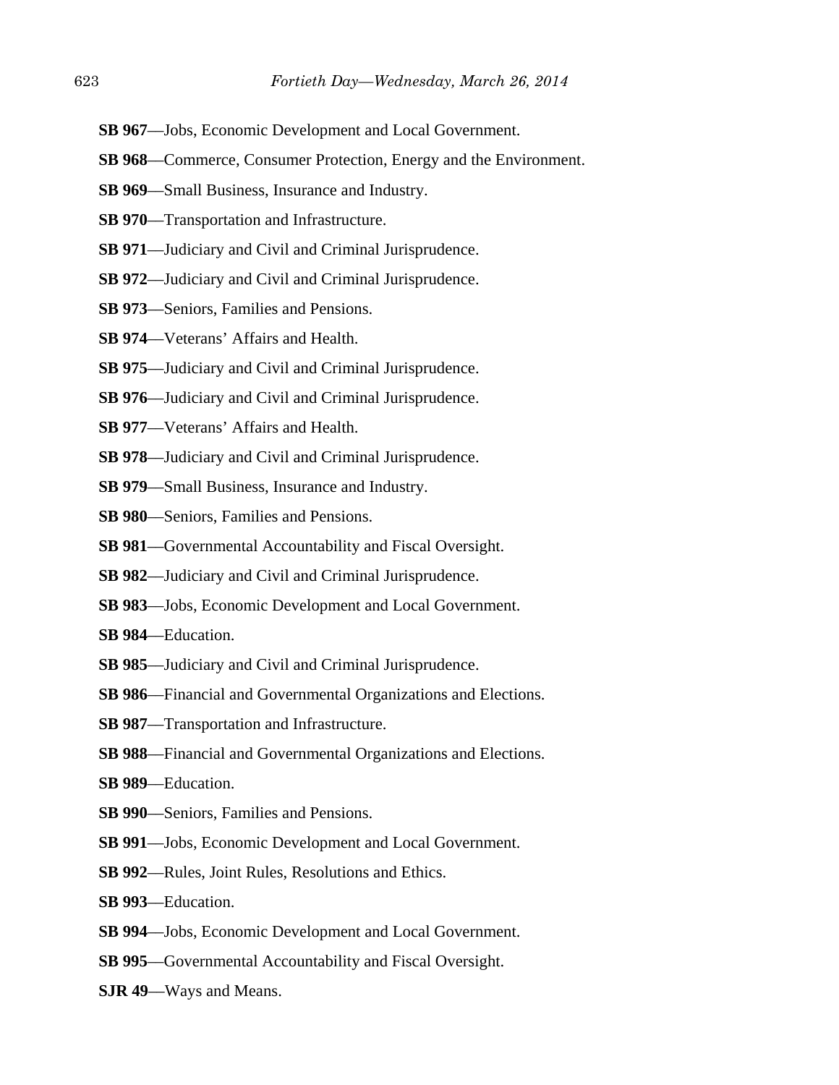- **SB 967**––Jobs, Economic Development and Local Government.
- **SB 968**––Commerce, Consumer Protection, Energy and the Environment.
- **SB 969**––Small Business, Insurance and Industry.
- **SB 970**––Transportation and Infrastructure.
- **SB 971**––Judiciary and Civil and Criminal Jurisprudence.
- **SB 972**––Judiciary and Civil and Criminal Jurisprudence.
- **SB 973**––Seniors, Families and Pensions.
- **SB 974**––Veterans' Affairs and Health.
- **SB 975**––Judiciary and Civil and Criminal Jurisprudence.
- **SB 976**—Judiciary and Civil and Criminal Jurisprudence.
- **SB 977**––Veterans' Affairs and Health.
- **SB 978**––Judiciary and Civil and Criminal Jurisprudence.
- **SB 979**––Small Business, Insurance and Industry.
- **SB 980**––Seniors, Families and Pensions.
- **SB 981**––Governmental Accountability and Fiscal Oversight.
- **SB 982**––Judiciary and Civil and Criminal Jurisprudence.
- **SB 983**––Jobs, Economic Development and Local Government.
- **SB 984**––Education.
- **SB 985**––Judiciary and Civil and Criminal Jurisprudence.
- **SB 986**––Financial and Governmental Organizations and Elections.
- **SB 987**––Transportation and Infrastructure.
- **SB 988**––Financial and Governmental Organizations and Elections.
- **SB 989**––Education.
- **SB 990**––Seniors, Families and Pensions.
- **SB 991**––Jobs, Economic Development and Local Government.
- **SB 992**––Rules, Joint Rules, Resolutions and Ethics.
- **SB 993**––Education.
- **SB 994**––Jobs, Economic Development and Local Government.
- **SB 995**––Governmental Accountability and Fiscal Oversight.
- **SJR 49**––Ways and Means.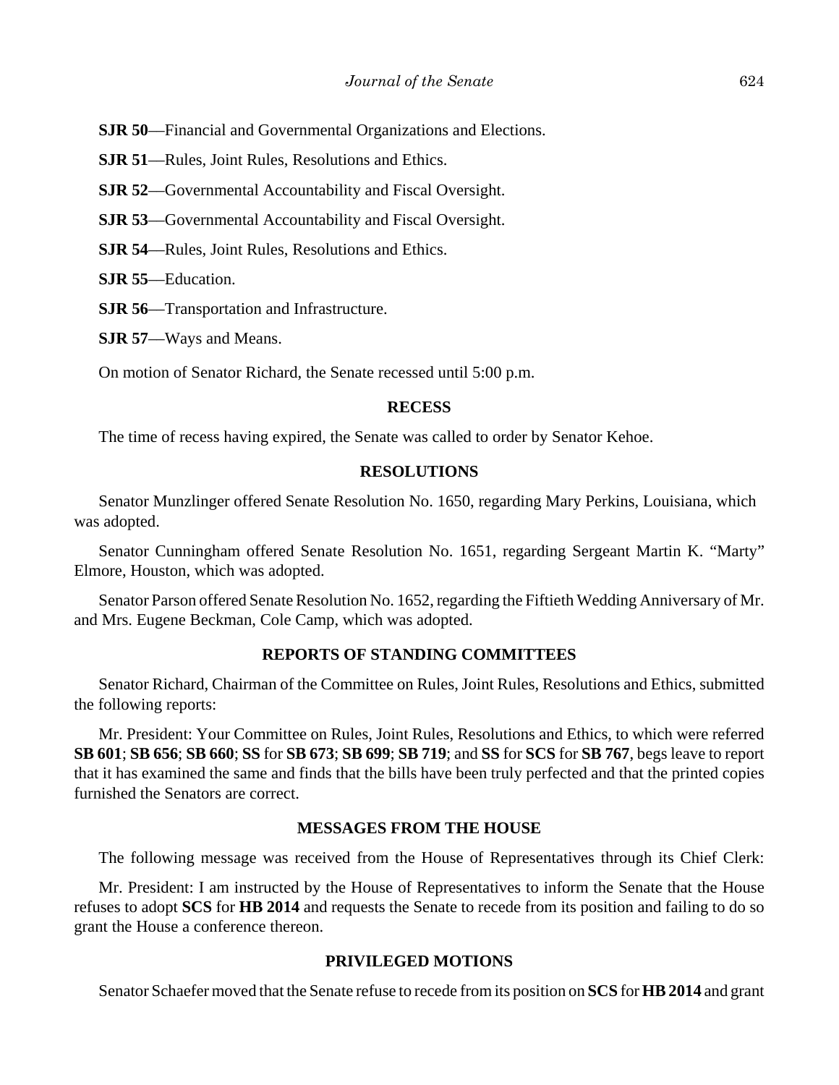**SJR 50**––Financial and Governmental Organizations and Elections.

**SJR 51**––Rules, Joint Rules, Resolutions and Ethics.

**SJR 52––Governmental Accountability and Fiscal Oversight.** 

**SJR 53**––Governmental Accountability and Fiscal Oversight.

**SJR 54**––Rules, Joint Rules, Resolutions and Ethics.

**SJR 55**––Education.

**SJR 56**––Transportation and Infrastructure.

**SJR 57**––Ways and Means.

On motion of Senator Richard, the Senate recessed until 5:00 p.m.

#### **RECESS**

The time of recess having expired, the Senate was called to order by Senator Kehoe.

#### **RESOLUTIONS**

Senator Munzlinger offered Senate Resolution No. 1650, regarding Mary Perkins, Louisiana, which was adopted.

Senator Cunningham offered Senate Resolution No. 1651, regarding Sergeant Martin K. "Marty" Elmore, Houston, which was adopted.

Senator Parson offered Senate Resolution No. 1652, regarding the Fiftieth Wedding Anniversary of Mr. and Mrs. Eugene Beckman, Cole Camp, which was adopted.

#### **REPORTS OF STANDING COMMITTEES**

Senator Richard, Chairman of the Committee on Rules, Joint Rules, Resolutions and Ethics, submitted the following reports:

Mr. President: Your Committee on Rules, Joint Rules, Resolutions and Ethics, to which were referred **SB 601**; **SB 656**; **SB 660**; **SS** for **SB 673**; **SB 699**; **SB 719**; and **SS** for **SCS** for **SB 767**, begs leave to report that it has examined the same and finds that the bills have been truly perfected and that the printed copies furnished the Senators are correct.

#### **MESSAGES FROM THE HOUSE**

The following message was received from the House of Representatives through its Chief Clerk:

Mr. President: I am instructed by the House of Representatives to inform the Senate that the House refuses to adopt **SCS** for **HB 2014** and requests the Senate to recede from its position and failing to do so grant the House a conference thereon.

#### **PRIVILEGED MOTIONS**

Senator Schaefer moved that the Senate refuse to recede from its position on **SCS** for **HB 2014** and grant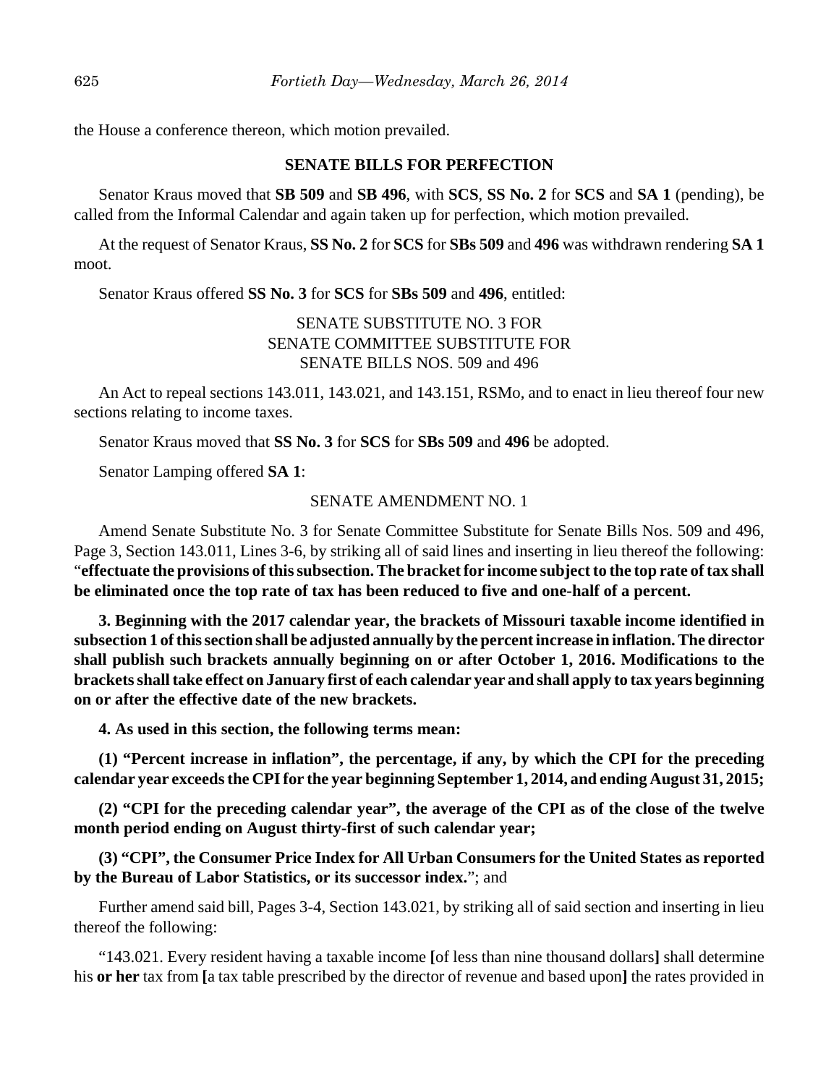the House a conference thereon, which motion prevailed.

#### **SENATE BILLS FOR PERFECTION**

Senator Kraus moved that **SB 509** and **SB 496**, with **SCS**, **SS No. 2** for **SCS** and **SA 1** (pending), be called from the Informal Calendar and again taken up for perfection, which motion prevailed.

At the request of Senator Kraus, **SS No. 2** for **SCS** for **SBs 509** and **496** was withdrawn rendering **SA 1** moot.

Senator Kraus offered **SS No. 3** for **SCS** for **SBs 509** and **496**, entitled:

## SENATE SUBSTITUTE NO. 3 FOR SENATE COMMITTEE SUBSTITUTE FOR SENATE BILLS NOS. 509 and 496

An Act to repeal sections 143.011, 143.021, and 143.151, RSMo, and to enact in lieu thereof four new sections relating to income taxes.

Senator Kraus moved that **SS No. 3** for **SCS** for **SBs 509** and **496** be adopted.

Senator Lamping offered **SA 1**:

#### SENATE AMENDMENT NO. 1

Amend Senate Substitute No. 3 for Senate Committee Substitute for Senate Bills Nos. 509 and 496, Page 3, Section 143.011, Lines 3-6, by striking all of said lines and inserting in lieu thereof the following: "**effectuate the provisions of this subsection. The bracket for income subject to the top rate of tax shall be eliminated once the top rate of tax has been reduced to five and one-half of a percent.**

**3. Beginning with the 2017 calendar year, the brackets of Missouri taxable income identified in subsection 1 of this section shall be adjusted annually by the percent increase in inflation. The director shall publish such brackets annually beginning on or after October 1, 2016. Modifications to the brackets shall take effect on January first of each calendar year and shall apply to tax years beginning on or after the effective date of the new brackets.**

**4. As used in this section, the following terms mean:**

**(1) "Percent increase in inflation", the percentage, if any, by which the CPI for the preceding calendar year exceeds the CPI for the year beginning September 1, 2014, and ending August 31, 2015;**

**(2) "CPI for the preceding calendar year", the average of the CPI as of the close of the twelve month period ending on August thirty-first of such calendar year;**

**(3) "CPI", the Consumer Price Index for All Urban Consumers for the United States as reported by the Bureau of Labor Statistics, or its successor index.**"; and

Further amend said bill, Pages 3-4, Section 143.021, by striking all of said section and inserting in lieu thereof the following:

"143.021. Every resident having a taxable income **[**of less than nine thousand dollars**]** shall determine his **or her** tax from **[**a tax table prescribed by the director of revenue and based upon**]** the rates provided in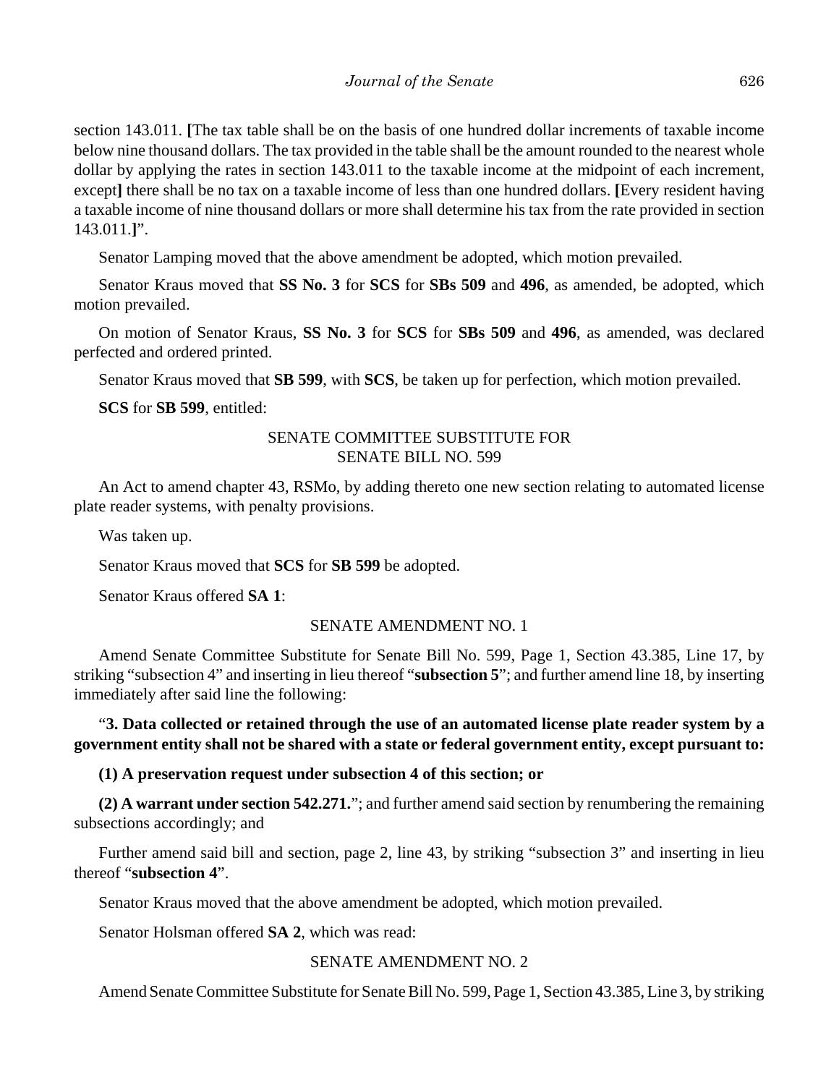section 143.011. **[**The tax table shall be on the basis of one hundred dollar increments of taxable income below nine thousand dollars. The tax provided in the table shall be the amount rounded to the nearest whole dollar by applying the rates in section 143.011 to the taxable income at the midpoint of each increment, except**]** there shall be no tax on a taxable income of less than one hundred dollars. **[**Every resident having a taxable income of nine thousand dollars or more shall determine his tax from the rate provided in section 143.011.**]**".

Senator Lamping moved that the above amendment be adopted, which motion prevailed.

Senator Kraus moved that **SS No. 3** for **SCS** for **SBs 509** and **496**, as amended, be adopted, which motion prevailed.

On motion of Senator Kraus, **SS No. 3** for **SCS** for **SBs 509** and **496**, as amended, was declared perfected and ordered printed.

Senator Kraus moved that **SB 599**, with **SCS**, be taken up for perfection, which motion prevailed.

**SCS** for **SB 599**, entitled:

#### SENATE COMMITTEE SUBSTITUTE FOR SENATE BILL NO. 599

An Act to amend chapter 43, RSMo, by adding thereto one new section relating to automated license plate reader systems, with penalty provisions.

Was taken up.

Senator Kraus moved that **SCS** for **SB 599** be adopted.

Senator Kraus offered **SA 1**:

#### SENATE AMENDMENT NO. 1

Amend Senate Committee Substitute for Senate Bill No. 599, Page 1, Section 43.385, Line 17, by striking "subsection 4" and inserting in lieu thereof "**subsection 5**"; and further amend line 18, by inserting immediately after said line the following:

"**3. Data collected or retained through the use of an automated license plate reader system by a government entity shall not be shared with a state or federal government entity, except pursuant to:**

#### **(1) A preservation request under subsection 4 of this section; or**

**(2) A warrant under section 542.271.**"; and further amend said section by renumbering the remaining subsections accordingly; and

Further amend said bill and section, page 2, line 43, by striking "subsection 3" and inserting in lieu thereof "**subsection 4**".

Senator Kraus moved that the above amendment be adopted, which motion prevailed.

Senator Holsman offered **SA 2**, which was read:

#### SENATE AMENDMENT NO. 2

Amend Senate Committee Substitute for Senate Bill No. 599, Page 1, Section 43.385, Line 3, by striking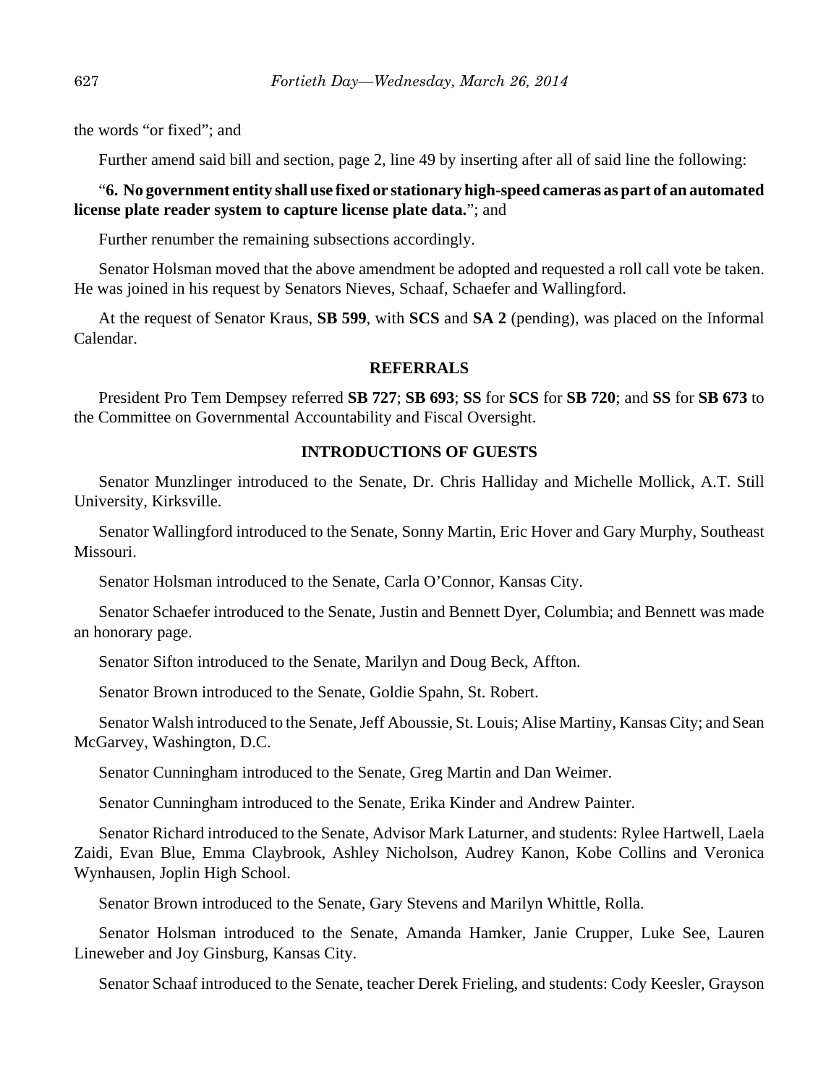the words "or fixed"; and

Further amend said bill and section, page 2, line 49 by inserting after all of said line the following:

#### "**6. No government entity shall use fixed or stationary high-speed cameras as part of an automated license plate reader system to capture license plate data.**"; and

Further renumber the remaining subsections accordingly.

Senator Holsman moved that the above amendment be adopted and requested a roll call vote be taken. He was joined in his request by Senators Nieves, Schaaf, Schaefer and Wallingford.

At the request of Senator Kraus, **SB 599**, with **SCS** and **SA 2** (pending), was placed on the Informal Calendar.

#### **REFERRALS**

President Pro Tem Dempsey referred **SB 727**; **SB 693**; **SS** for **SCS** for **SB 720**; and **SS** for **SB 673** to the Committee on Governmental Accountability and Fiscal Oversight.

## **INTRODUCTIONS OF GUESTS**

Senator Munzlinger introduced to the Senate, Dr. Chris Halliday and Michelle Mollick, A.T. Still University, Kirksville.

Senator Wallingford introduced to the Senate, Sonny Martin, Eric Hover and Gary Murphy, Southeast Missouri.

Senator Holsman introduced to the Senate, Carla O'Connor, Kansas City.

Senator Schaefer introduced to the Senate, Justin and Bennett Dyer, Columbia; and Bennett was made an honorary page.

Senator Sifton introduced to the Senate, Marilyn and Doug Beck, Affton.

Senator Brown introduced to the Senate, Goldie Spahn, St. Robert.

Senator Walsh introduced to the Senate, Jeff Aboussie, St. Louis; Alise Martiny, Kansas City; and Sean McGarvey, Washington, D.C.

Senator Cunningham introduced to the Senate, Greg Martin and Dan Weimer.

Senator Cunningham introduced to the Senate, Erika Kinder and Andrew Painter.

Senator Richard introduced to the Senate, Advisor Mark Laturner, and students: Rylee Hartwell, Laela Zaidi, Evan Blue, Emma Claybrook, Ashley Nicholson, Audrey Kanon, Kobe Collins and Veronica Wynhausen, Joplin High School.

Senator Brown introduced to the Senate, Gary Stevens and Marilyn Whittle, Rolla.

Senator Holsman introduced to the Senate, Amanda Hamker, Janie Crupper, Luke See, Lauren Lineweber and Joy Ginsburg, Kansas City.

Senator Schaaf introduced to the Senate, teacher Derek Frieling, and students: Cody Keesler, Grayson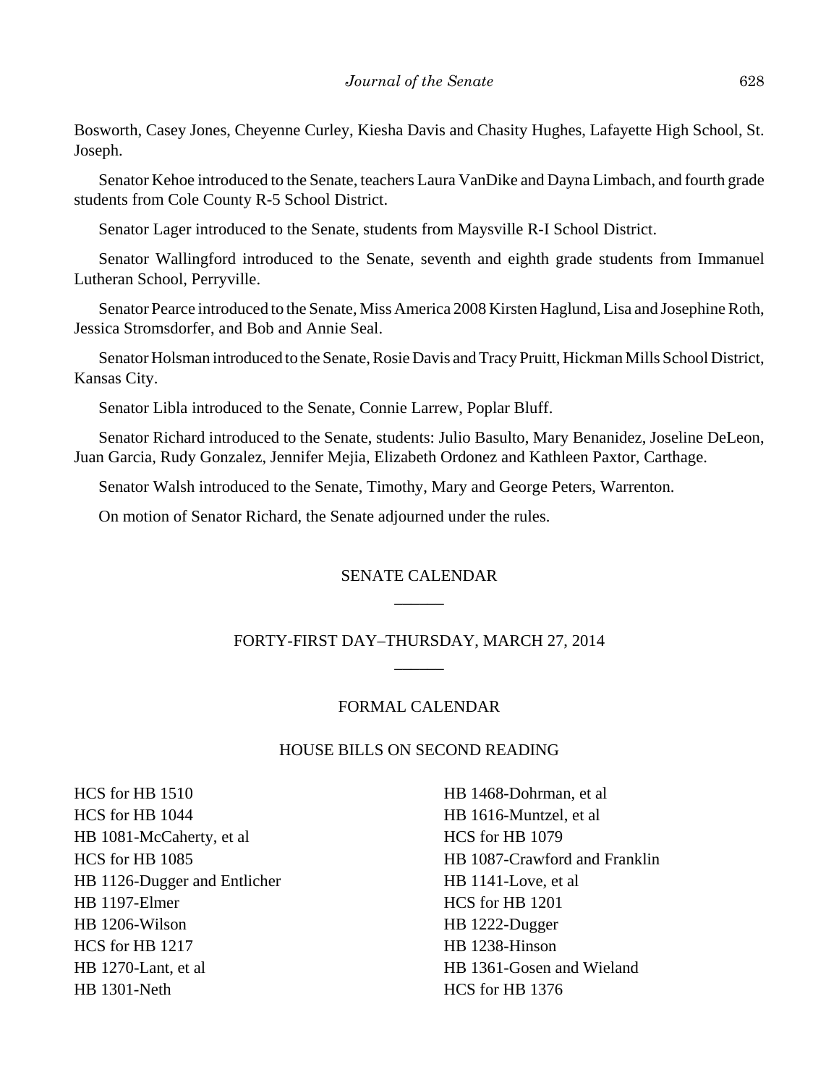Bosworth, Casey Jones, Cheyenne Curley, Kiesha Davis and Chasity Hughes, Lafayette High School, St. Joseph.

Senator Kehoe introduced to the Senate, teachers Laura VanDike and Dayna Limbach, and fourth grade students from Cole County R-5 School District.

Senator Lager introduced to the Senate, students from Maysville R-I School District.

Senator Wallingford introduced to the Senate, seventh and eighth grade students from Immanuel Lutheran School, Perryville.

Senator Pearce introduced to the Senate, Miss America 2008 Kirsten Haglund, Lisa and Josephine Roth, Jessica Stromsdorfer, and Bob and Annie Seal.

Senator Holsman introduced to the Senate, Rosie Davis and Tracy Pruitt, Hickman Mills School District, Kansas City.

Senator Libla introduced to the Senate, Connie Larrew, Poplar Bluff.

Senator Richard introduced to the Senate, students: Julio Basulto, Mary Benanidez, Joseline DeLeon, Juan Garcia, Rudy Gonzalez, Jennifer Mejia, Elizabeth Ordonez and Kathleen Paxtor, Carthage.

Senator Walsh introduced to the Senate, Timothy, Mary and George Peters, Warrenton.

On motion of Senator Richard, the Senate adjourned under the rules.

## SENATE CALENDAR \_\_\_\_\_\_

## FORTY-FIRST DAY–THURSDAY, MARCH 27, 2014 \_\_\_\_\_\_

#### FORMAL CALENDAR

#### HOUSE BILLS ON SECOND READING

HCS for HB 1510 HCS for HB 1044 HB 1081-McCaherty, et al HCS for HB 1085 HB 1126-Dugger and Entlicher HB 1197-Elmer HB 1206-Wilson HCS for HB 1217 HB 1270-Lant, et al HB 1301-Neth

HB 1468-Dohrman, et al HB 1616-Muntzel, et al HCS for HB 1079 HB 1087-Crawford and Franklin HB 1141-Love, et al HCS for HB 1201 HB 1222-Dugger HB 1238-Hinson HB 1361-Gosen and Wieland HCS for HB 1376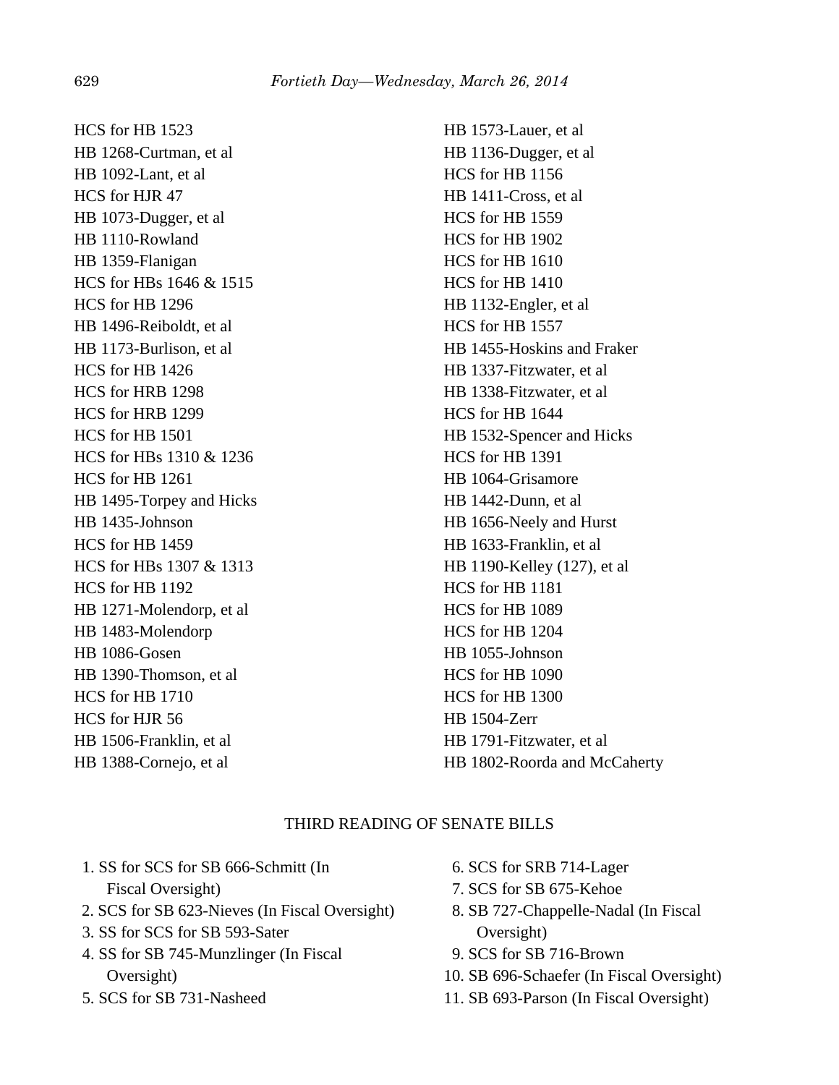HCS for HB 1523 HB 1268-Curtman, et al HB 1092-Lant, et al HCS for HJR 47 HB 1073-Dugger, et al HB 1110-Rowland HB 1359-Flanigan HCS for HBs 1646 & 1515 HCS for HB 1296 HB 1496-Reiboldt, et al HB 1173-Burlison, et al HCS for HB 1426 HCS for HRB 1298 HCS for HRB 1299 HCS for HB 1501 HCS for HBs 1310 & 1236 HCS for HB 1261 HB 1495-Torpey and Hicks HB 1435-Johnson HCS for HB 1459 HCS for HBs 1307 & 1313 HCS for HB 1192 HB 1271-Molendorp, et al HB 1483-Molendorp HB 1086-Gosen HB 1390-Thomson, et al HCS for HB 1710 HCS for HJR 56 HB 1506-Franklin, et al HB 1388-Cornejo, et al

HB 1573-Lauer, et al HB 1136-Dugger, et al HCS for HB 1156 HB 1411-Cross, et al HCS for HB 1559 HCS for HB 1902 HCS for HB 1610 HCS for HB 1410 HB 1132-Engler, et al HCS for HB 1557 HB 1455-Hoskins and Fraker HB 1337-Fitzwater, et al HB 1338-Fitzwater, et al HCS for HB 1644 HB 1532-Spencer and Hicks HCS for HB 1391 HB 1064-Grisamore HB 1442-Dunn, et al HB 1656-Neely and Hurst HB 1633-Franklin, et al HB 1190-Kelley (127), et al HCS for HB 1181 HCS for HB 1089 HCS for HB 1204 HB 1055-Johnson HCS for HB 1090 HCS for HB 1300 HB 1504-Zerr HB 1791-Fitzwater, et al HB 1802-Roorda and McCaherty

## THIRD READING OF SENATE BILLS

- 1. SS for SCS for SB 666-Schmitt (In Fiscal Oversight)
- 2. SCS for SB 623-Nieves (In Fiscal Oversight)
- 3. SS for SCS for SB 593-Sater
- 4. SS for SB 745-Munzlinger (In Fiscal Oversight)
- 5. SCS for SB 731-Nasheed
- 6. SCS for SRB 714-Lager
- 7. SCS for SB 675-Kehoe
- 8. SB 727-Chappelle-Nadal (In Fiscal Oversight)
- 9. SCS for SB 716-Brown
- 10. SB 696-Schaefer (In Fiscal Oversight)
- 11. SB 693-Parson (In Fiscal Oversight)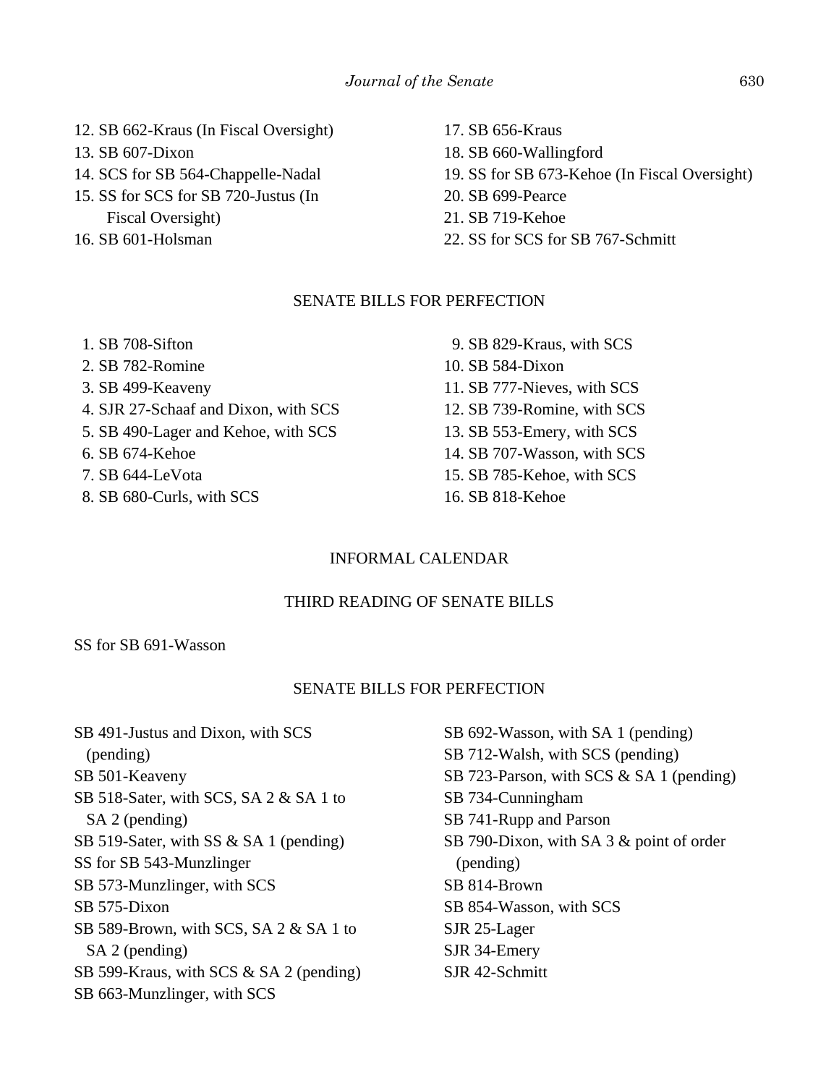- 12. SB 662-Kraus (In Fiscal Oversight)
- 13. SB 607-Dixon
- 14. SCS for SB 564-Chappelle-Nadal
- 15. SS for SCS for SB 720-Justus (In Fiscal Oversight)
- 16. SB 601-Holsman
- 17. SB 656-Kraus
- 18. SB 660-Wallingford
- 19. SS for SB 673-Kehoe (In Fiscal Oversight)
- 20. SB 699-Pearce
- 21. SB 719-Kehoe
- 22. SS for SCS for SB 767-Schmitt

#### SENATE BILLS FOR PERFECTION

- 1. SB 708-Sifton 2. SB 782-Romine 3. SB 499-Keaveny 4. SJR 27-Schaaf and Dixon, with SCS 5. SB 490-Lager and Kehoe, with SCS 6. SB 674-Kehoe 7. SB 644-LeVota 8. SB 680-Curls, with SCS
- 9. SB 829-Kraus, with SCS 10. SB 584-Dixon 11. SB 777-Nieves, with SCS 12. SB 739-Romine, with SCS 13. SB 553-Emery, with SCS 14. SB 707-Wasson, with SCS 15. SB 785-Kehoe, with SCS 16. SB 818-Kehoe

## INFORMAL CALENDAR

## THIRD READING OF SENATE BILLS

SS for SB 691-Wasson

## SENATE BILLS FOR PERFECTION

SB 491-Justus and Dixon, with SCS (pending) SB 501-Keaveny SB 518-Sater, with SCS, SA 2 & SA 1 to SA 2 (pending) SB 519-Sater, with SS & SA 1 (pending) SS for SB 543-Munzlinger SB 573-Munzlinger, with SCS SB 575-Dixon SB 589-Brown, with SCS, SA 2 & SA 1 to SA 2 (pending) SB 599-Kraus, with SCS & SA 2 (pending) SB 663-Munzlinger, with SCS

SB 692-Wasson, with SA 1 (pending) SB 712-Walsh, with SCS (pending) SB 723-Parson, with SCS & SA 1 (pending) SB 734-Cunningham SB 741-Rupp and Parson SB 790-Dixon, with SA 3 & point of order (pending) SB 814-Brown SB 854-Wasson, with SCS SJR 25-Lager SJR 34-Emery SJR 42-Schmitt